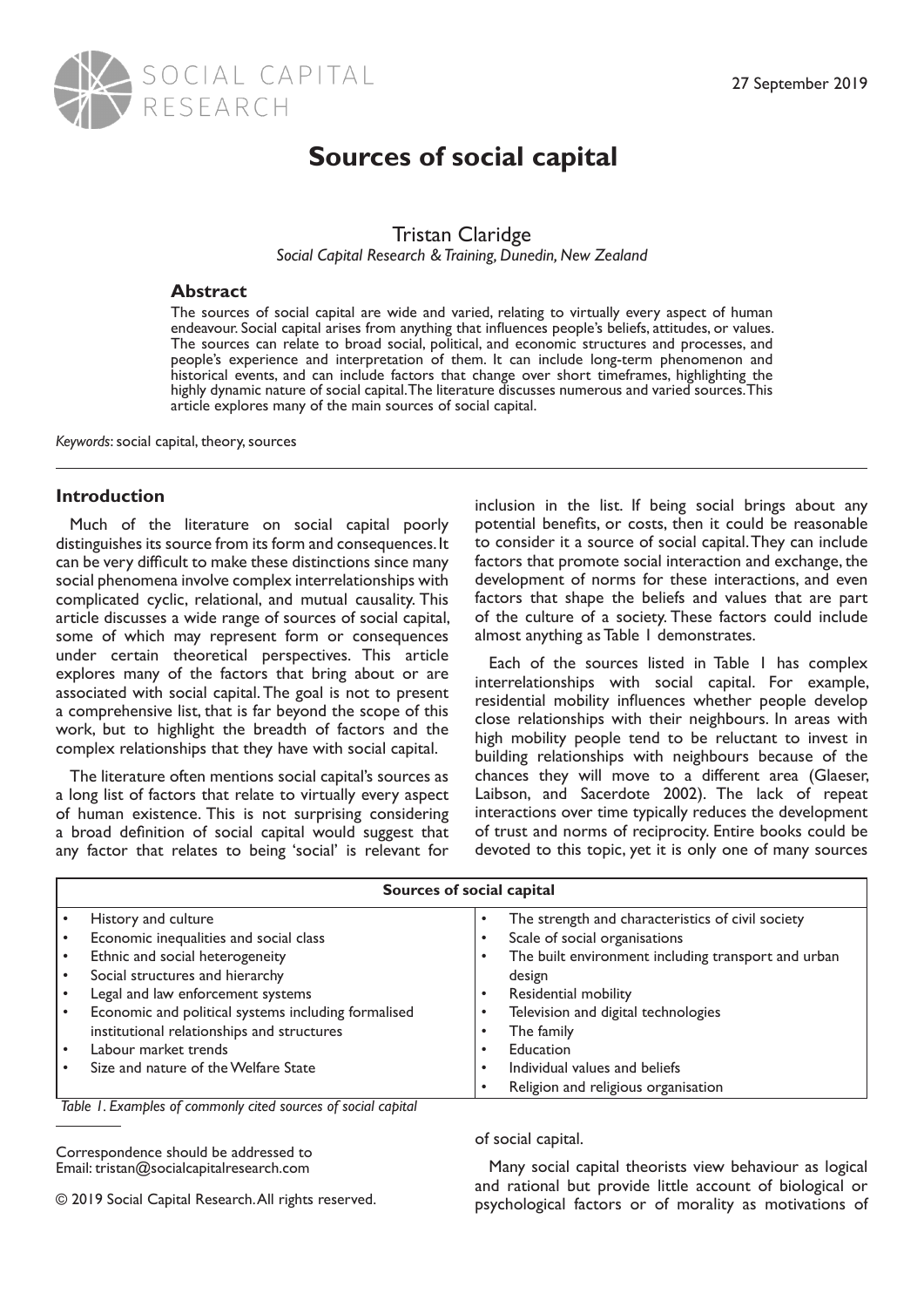

# **Sources of social capital**

# Tristan Claridge

*Social Capital Research & Training, Dunedin, New Zealand*

# **Abstract**

The sources of social capital are wide and varied, relating to virtually every aspect of human endeavour. Social capital arises from anything that influences people's beliefs, attitudes, or values. The sources can relate to broad social, political, and economic structures and processes, and people's experience and interpretation of them. It can include long-term phenomenon and historical events, and can include factors that change over short timeframes, highlighting the highly dynamic nature of social capital. The literature discusses numerous and varied sources. This article explores many of the main sources of social capital.

*Keywords*: social capital, theory, sources

# **Introduction**

Much of the literature on social capital poorly distinguishes its source from its form and consequences. It can be very difficult to make these distinctions since many social phenomena involve complex interrelationships with complicated cyclic, relational, and mutual causality. This article discusses a wide range of sources of social capital, some of which may represent form or consequences under certain theoretical perspectives. This article explores many of the factors that bring about or are associated with social capital. The goal is not to present a comprehensive list, that is far beyond the scope of this work, but to highlight the breadth of factors and the complex relationships that they have with social capital.

The literature often mentions social capital's sources as a long list of factors that relate to virtually every aspect of human existence. This is not surprising considering a broad definition of social capital would suggest that any factor that relates to being 'social' is relevant for

inclusion in the list. If being social brings about any potential benefits, or costs, then it could be reasonable to consider it a source of social capital. They can include factors that promote social interaction and exchange, the development of norms for these interactions, and even factors that shape the beliefs and values that are part of the culture of a society. These factors could include almost anything as Table 1 demonstrates.

Each of the sources listed in Table 1 has complex interrelationships with social capital. For example, residential mobility influences whether people develop close relationships with their neighbours. In areas with high mobility people tend to be reluctant to invest in building relationships with neighbours because of the chances they will move to a different area (Glaeser, Laibson, and Sacerdote 2002). The lack of repeat interactions over time typically reduces the development of trust and norms of reciprocity. Entire books could be devoted to this topic, yet it is only one of many sources

| Sources of social capital |                                                     |                                                          |
|---------------------------|-----------------------------------------------------|----------------------------------------------------------|
|                           | History and culture                                 | The strength and characteristics of civil society<br>٠   |
|                           | Economic inequalities and social class              | Scale of social organisations                            |
|                           | Ethnic and social heterogeneity                     | The built environment including transport and urban<br>٠ |
|                           | Social structures and hierarchy                     | design                                                   |
|                           | Legal and law enforcement systems                   | Residential mobility                                     |
|                           | Economic and political systems including formalised | Television and digital technologies                      |
|                           | institutional relationships and structures          | The family<br>٠                                          |
|                           | Labour market trends                                | Education                                                |
|                           | Size and nature of the Welfare State                | Individual values and beliefs<br>٠                       |
|                           |                                                     | Religion and religious organisation<br>٠                 |

*Table 1. Examples of commonly cited sources of social capital*

Correspondence should be addressed to Email: tristan@socialcapitalresearch.com

© 2019 Social Capital Research. All rights reserved.

of social capital.

Many social capital theorists view behaviour as logical and rational but provide little account of biological or psychological factors or of morality as motivations of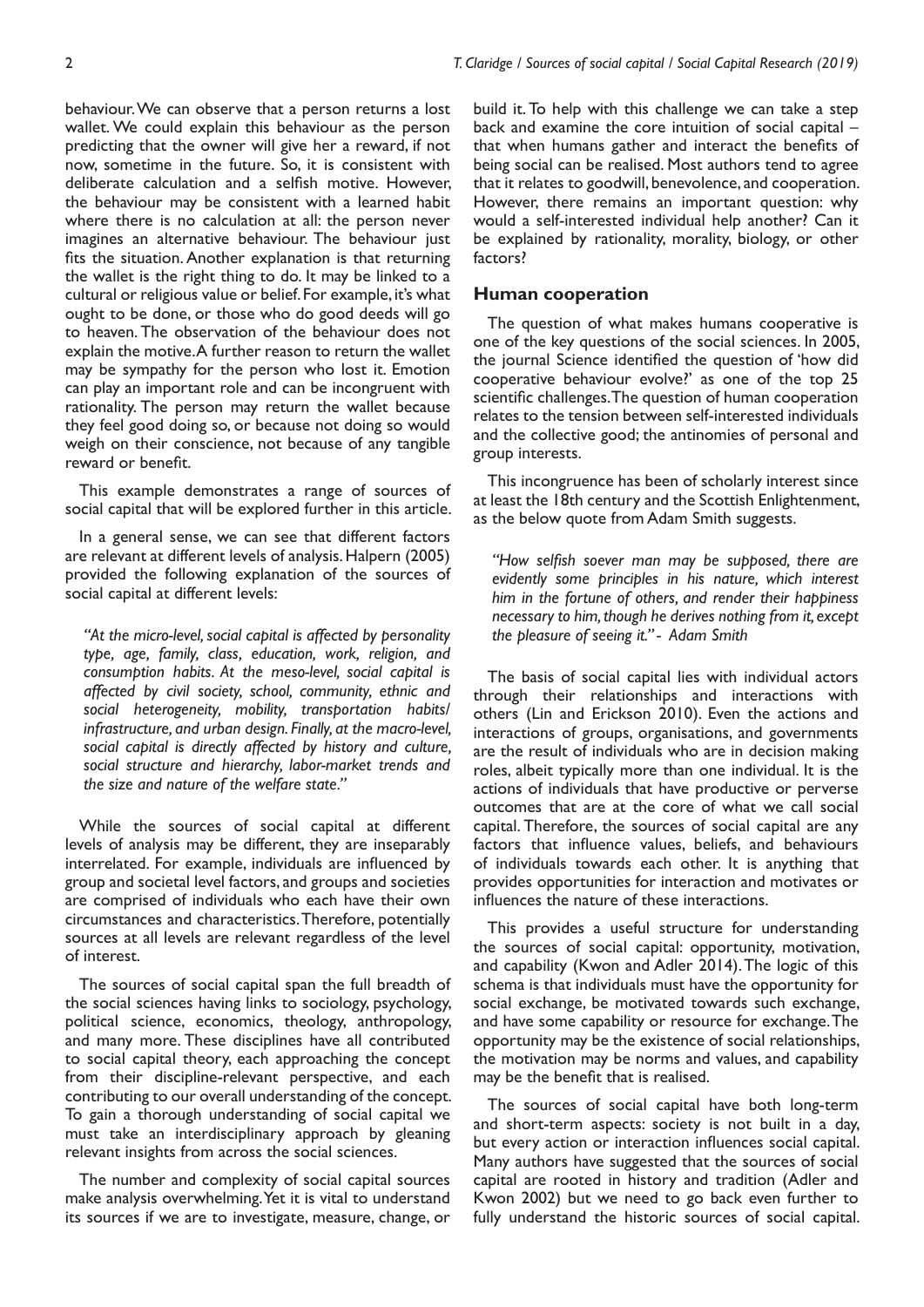behaviour. We can observe that a person returns a lost wallet. We could explain this behaviour as the person predicting that the owner will give her a reward, if not now, sometime in the future. So, it is consistent with deliberate calculation and a selfish motive. However, the behaviour may be consistent with a learned habit where there is no calculation at all: the person never imagines an alternative behaviour. The behaviour just fits the situation. Another explanation is that returning the wallet is the right thing to do. It may be linked to a cultural or religious value or belief. For example, it's what ought to be done, or those who do good deeds will go to heaven. The observation of the behaviour does not explain the motive. A further reason to return the wallet may be sympathy for the person who lost it. Emotion can play an important role and can be incongruent with rationality. The person may return the wallet because they feel good doing so, or because not doing so would weigh on their conscience, not because of any tangible reward or benefit.

This example demonstrates a range of sources of social capital that will be explored further in this article.

In a general sense, we can see that different factors are relevant at different levels of analysis. Halpern (2005) provided the following explanation of the sources of social capital at different levels:

*"At the micro-level, social capital is affected by personality type, age, family, class, education, work, religion, and consumption habits. At the meso-level, social capital is affected by civil society, school, community, ethnic and social heterogeneity, mobility, transportation habits/ infrastructure, and urban design. Finally, at the macro-level, social capital is directly affected by history and culture, social structure and hierarchy, labor-market trends and the size and nature of the welfare state."* 

While the sources of social capital at different levels of analysis may be different, they are inseparably interrelated. For example, individuals are influenced by group and societal level factors, and groups and societies are comprised of individuals who each have their own circumstances and characteristics. Therefore, potentially sources at all levels are relevant regardless of the level of interest.

The sources of social capital span the full breadth of the social sciences having links to sociology, psychology, political science, economics, theology, anthropology, and many more. These disciplines have all contributed to social capital theory, each approaching the concept from their discipline-relevant perspective, and each contributing to our overall understanding of the concept. To gain a thorough understanding of social capital we must take an interdisciplinary approach by gleaning relevant insights from across the social sciences.

The number and complexity of social capital sources make analysis overwhelming. Yet it is vital to understand its sources if we are to investigate, measure, change, or build it. To help with this challenge we can take a step back and examine the core intuition of social capital – that when humans gather and interact the benefits of being social can be realised. Most authors tend to agree that it relates to goodwill, benevolence, and cooperation. However, there remains an important question: why would a self-interested individual help another? Can it be explained by rationality, morality, biology, or other factors?

#### **Human cooperation**

The question of what makes humans cooperative is one of the key questions of the social sciences. In 2005, the journal Science identified the question of 'how did cooperative behaviour evolve?' as one of the top 25 scientific challenges. The question of human cooperation relates to the tension between self-interested individuals and the collective good; the antinomies of personal and group interests.

This incongruence has been of scholarly interest since at least the 18th century and the Scottish Enlightenment, as the below quote from Adam Smith suggests.

*"How selfish soever man may be supposed, there are evidently some principles in his nature, which interest him in the fortune of others, and render their happiness necessary to him, though he derives nothing from it, except the pleasure of seeing it." - Adam Smith*

The basis of social capital lies with individual actors through their relationships and interactions with others (Lin and Erickson 2010). Even the actions and interactions of groups, organisations, and governments are the result of individuals who are in decision making roles, albeit typically more than one individual. It is the actions of individuals that have productive or perverse outcomes that are at the core of what we call social capital. Therefore, the sources of social capital are any factors that influence values, beliefs, and behaviours of individuals towards each other. It is anything that provides opportunities for interaction and motivates or influences the nature of these interactions.

This provides a useful structure for understanding the sources of social capital: opportunity, motivation, and capability (Kwon and Adler 2014). The logic of this schema is that individuals must have the opportunity for social exchange, be motivated towards such exchange, and have some capability or resource for exchange. The opportunity may be the existence of social relationships, the motivation may be norms and values, and capability may be the benefit that is realised.

The sources of social capital have both long-term and short-term aspects: society is not built in a day, but every action or interaction influences social capital. Many authors have suggested that the sources of social capital are rooted in history and tradition (Adler and Kwon 2002) but we need to go back even further to fully understand the historic sources of social capital.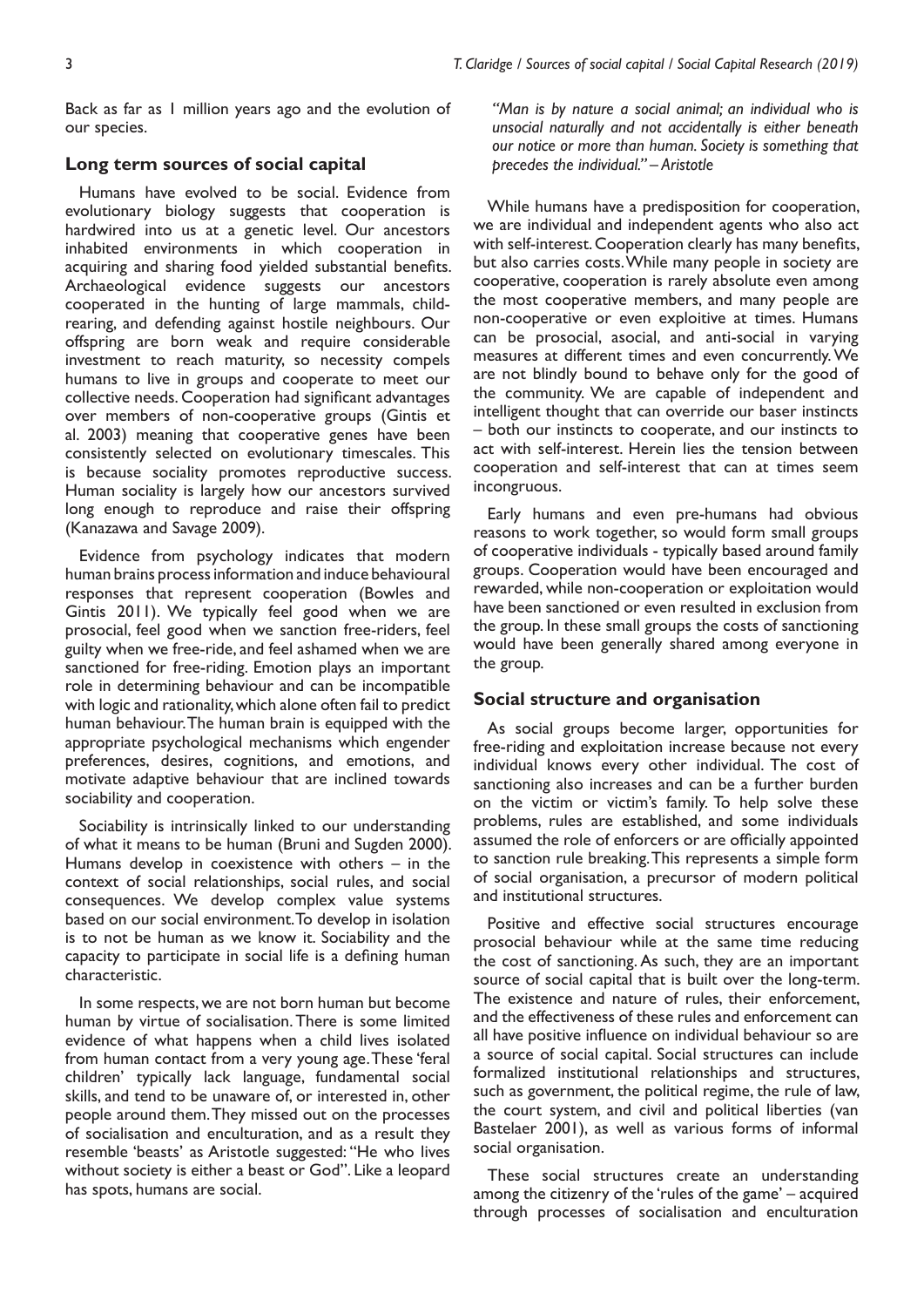Back as far as 1 million years ago and the evolution of our species.

### **Long term sources of social capital**

Humans have evolved to be social. Evidence from evolutionary biology suggests that cooperation is hardwired into us at a genetic level. Our ancestors inhabited environments in which cooperation in acquiring and sharing food yielded substantial benefits. Archaeological evidence suggests our ancestors cooperated in the hunting of large mammals, childrearing, and defending against hostile neighbours. Our offspring are born weak and require considerable investment to reach maturity, so necessity compels humans to live in groups and cooperate to meet our collective needs. Cooperation had significant advantages over members of non-cooperative groups (Gintis et al. 2003) meaning that cooperative genes have been consistently selected on evolutionary timescales. This is because sociality promotes reproductive success. Human sociality is largely how our ancestors survived long enough to reproduce and raise their offspring (Kanazawa and Savage 2009).

Evidence from psychology indicates that modern human brains process information and induce behavioural responses that represent cooperation (Bowles and Gintis 2011). We typically feel good when we are prosocial, feel good when we sanction free-riders, feel guilty when we free-ride, and feel ashamed when we are sanctioned for free-riding. Emotion plays an important role in determining behaviour and can be incompatible with logic and rationality, which alone often fail to predict human behaviour. The human brain is equipped with the appropriate psychological mechanisms which engender preferences, desires, cognitions, and emotions, and motivate adaptive behaviour that are inclined towards sociability and cooperation.

Sociability is intrinsically linked to our understanding of what it means to be human (Bruni and Sugden 2000). Humans develop in coexistence with others – in the context of social relationships, social rules, and social consequences. We develop complex value systems based on our social environment. To develop in isolation is to not be human as we know it. Sociability and the capacity to participate in social life is a defining human characteristic.

In some respects, we are not born human but become human by virtue of socialisation. There is some limited evidence of what happens when a child lives isolated from human contact from a very young age. These 'feral children' typically lack language, fundamental social skills, and tend to be unaware of, or interested in, other people around them. They missed out on the processes of socialisation and enculturation, and as a result they resemble 'beasts' as Aristotle suggested: "He who lives without society is either a beast or God". Like a leopard has spots, humans are social.

*"Man is by nature a social animal; an individual who is unsocial naturally and not accidentally is either beneath our notice or more than human. Society is something that precedes the individual." – Aristotle*

While humans have a predisposition for cooperation, we are individual and independent agents who also act with self-interest. Cooperation clearly has many benefits, but also carries costs. While many people in society are cooperative, cooperation is rarely absolute even among the most cooperative members, and many people are non-cooperative or even exploitive at times. Humans can be prosocial, asocial, and anti-social in varying measures at different times and even concurrently. We are not blindly bound to behave only for the good of the community. We are capable of independent and intelligent thought that can override our baser instincts – both our instincts to cooperate, and our instincts to act with self-interest. Herein lies the tension between cooperation and self-interest that can at times seem incongruous.

Early humans and even pre-humans had obvious reasons to work together, so would form small groups of cooperative individuals - typically based around family groups. Cooperation would have been encouraged and rewarded, while non-cooperation or exploitation would have been sanctioned or even resulted in exclusion from the group. In these small groups the costs of sanctioning would have been generally shared among everyone in the group.

#### **Social structure and organisation**

As social groups become larger, opportunities for free-riding and exploitation increase because not every individual knows every other individual. The cost of sanctioning also increases and can be a further burden on the victim or victim's family. To help solve these problems, rules are established, and some individuals assumed the role of enforcers or are officially appointed to sanction rule breaking. This represents a simple form of social organisation, a precursor of modern political and institutional structures.

Positive and effective social structures encourage prosocial behaviour while at the same time reducing the cost of sanctioning. As such, they are an important source of social capital that is built over the long-term. The existence and nature of rules, their enforcement, and the effectiveness of these rules and enforcement can all have positive influence on individual behaviour so are a source of social capital. Social structures can include formalized institutional relationships and structures, such as government, the political regime, the rule of law, the court system, and civil and political liberties (van Bastelaer 2001), as well as various forms of informal social organisation.

These social structures create an understanding among the citizenry of the 'rules of the game' – acquired through processes of socialisation and enculturation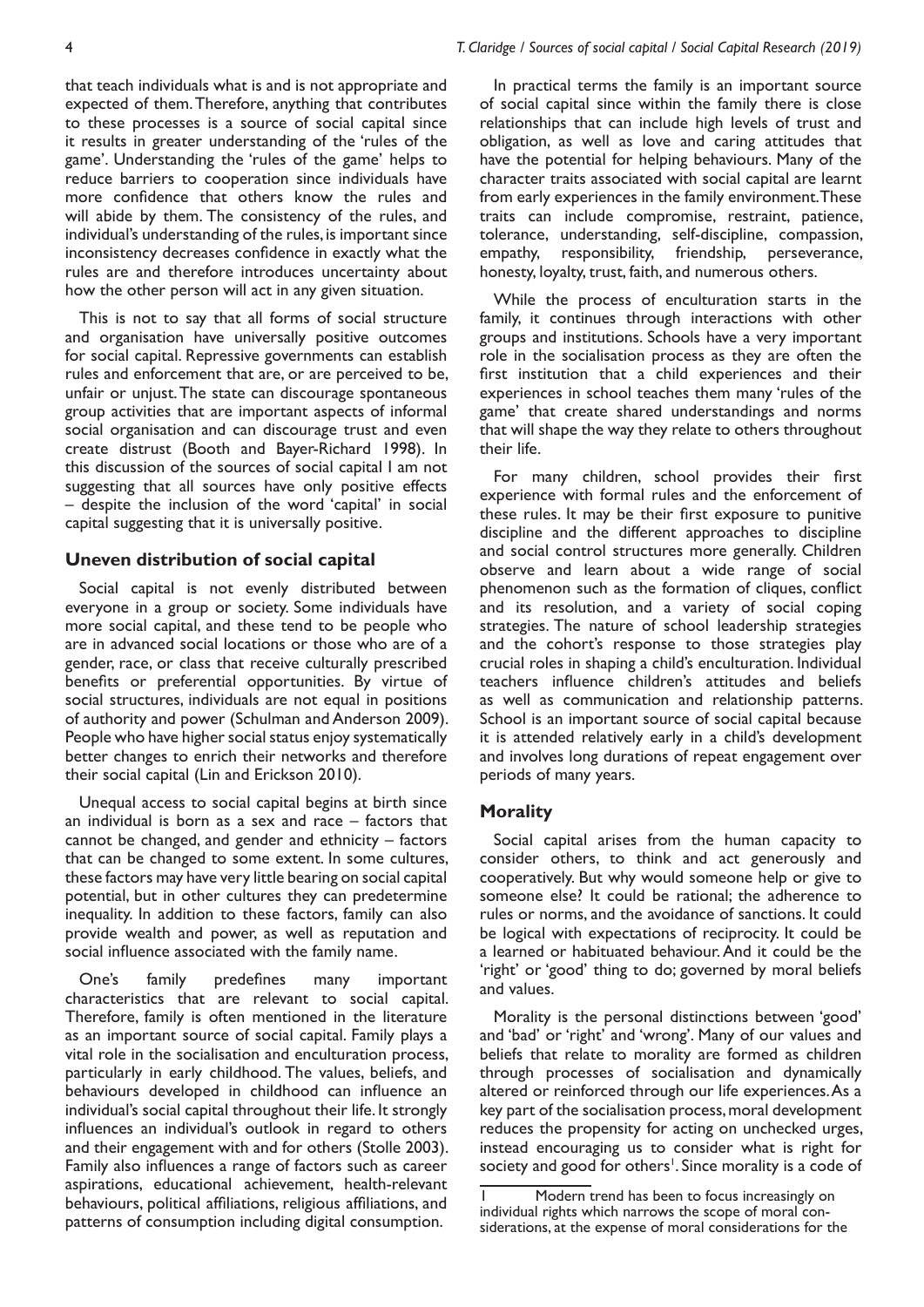that teach individuals what is and is not appropriate and expected of them. Therefore, anything that contributes to these processes is a source of social capital since it results in greater understanding of the 'rules of the game'. Understanding the 'rules of the game' helps to reduce barriers to cooperation since individuals have more confidence that others know the rules and will abide by them. The consistency of the rules, and individual's understanding of the rules, is important since inconsistency decreases confidence in exactly what the rules are and therefore introduces uncertainty about how the other person will act in any given situation.

This is not to say that all forms of social structure and organisation have universally positive outcomes for social capital. Repressive governments can establish rules and enforcement that are, or are perceived to be, unfair or unjust. The state can discourage spontaneous group activities that are important aspects of informal social organisation and can discourage trust and even create distrust (Booth and Bayer-Richard 1998). In this discussion of the sources of social capital I am not suggesting that all sources have only positive effects – despite the inclusion of the word 'capital' in social capital suggesting that it is universally positive.

#### **Uneven distribution of social capital**

Social capital is not evenly distributed between everyone in a group or society. Some individuals have more social capital, and these tend to be people who are in advanced social locations or those who are of a gender, race, or class that receive culturally prescribed benefits or preferential opportunities. By virtue of social structures, individuals are not equal in positions of authority and power (Schulman and Anderson 2009). People who have higher social status enjoy systematically better changes to enrich their networks and therefore their social capital (Lin and Erickson 2010).

Unequal access to social capital begins at birth since an individual is born as a sex and race – factors that cannot be changed, and gender and ethnicity – factors that can be changed to some extent. In some cultures, these factors may have very little bearing on social capital potential, but in other cultures they can predetermine inequality. In addition to these factors, family can also provide wealth and power, as well as reputation and social influence associated with the family name.

One's family predefines many important characteristics that are relevant to social capital. Therefore, family is often mentioned in the literature as an important source of social capital. Family plays a vital role in the socialisation and enculturation process, particularly in early childhood. The values, beliefs, and behaviours developed in childhood can influence an individual's social capital throughout their life. It strongly influences an individual's outlook in regard to others and their engagement with and for others (Stolle 2003). Family also influences a range of factors such as career aspirations, educational achievement, health-relevant behaviours, political affiliations, religious affiliations, and patterns of consumption including digital consumption.

In practical terms the family is an important source of social capital since within the family there is close relationships that can include high levels of trust and obligation, as well as love and caring attitudes that have the potential for helping behaviours. Many of the character traits associated with social capital are learnt from early experiences in the family environment. These traits can include compromise, restraint, patience, tolerance, understanding, self-discipline, compassion, empathy, responsibility, friendship, perseverance, honesty, loyalty, trust, faith, and numerous others.

While the process of enculturation starts in the family, it continues through interactions with other groups and institutions. Schools have a very important role in the socialisation process as they are often the first institution that a child experiences and their experiences in school teaches them many 'rules of the game' that create shared understandings and norms that will shape the way they relate to others throughout their life.

For many children, school provides their first experience with formal rules and the enforcement of these rules. It may be their first exposure to punitive discipline and the different approaches to discipline and social control structures more generally. Children observe and learn about a wide range of social phenomenon such as the formation of cliques, conflict and its resolution, and a variety of social coping strategies. The nature of school leadership strategies and the cohort's response to those strategies play crucial roles in shaping a child's enculturation. Individual teachers influence children's attitudes and beliefs as well as communication and relationship patterns. School is an important source of social capital because it is attended relatively early in a child's development and involves long durations of repeat engagement over periods of many years.

#### **Morality**

Social capital arises from the human capacity to consider others, to think and act generously and cooperatively. But why would someone help or give to someone else? It could be rational; the adherence to rules or norms, and the avoidance of sanctions. It could be logical with expectations of reciprocity. It could be a learned or habituated behaviour. And it could be the 'right' or 'good' thing to do; governed by moral beliefs and values.

Morality is the personal distinctions between 'good' and 'bad' or 'right' and 'wrong'. Many of our values and beliefs that relate to morality are formed as children through processes of socialisation and dynamically altered or reinforced through our life experiences. As a key part of the socialisation process, moral development reduces the propensity for acting on unchecked urges, instead encouraging us to consider what is right for society and good for others<sup>1</sup>. Since morality is a code of

Modern trend has been to focus increasingly on individual rights which narrows the scope of moral considerations, at the expense of moral considerations for the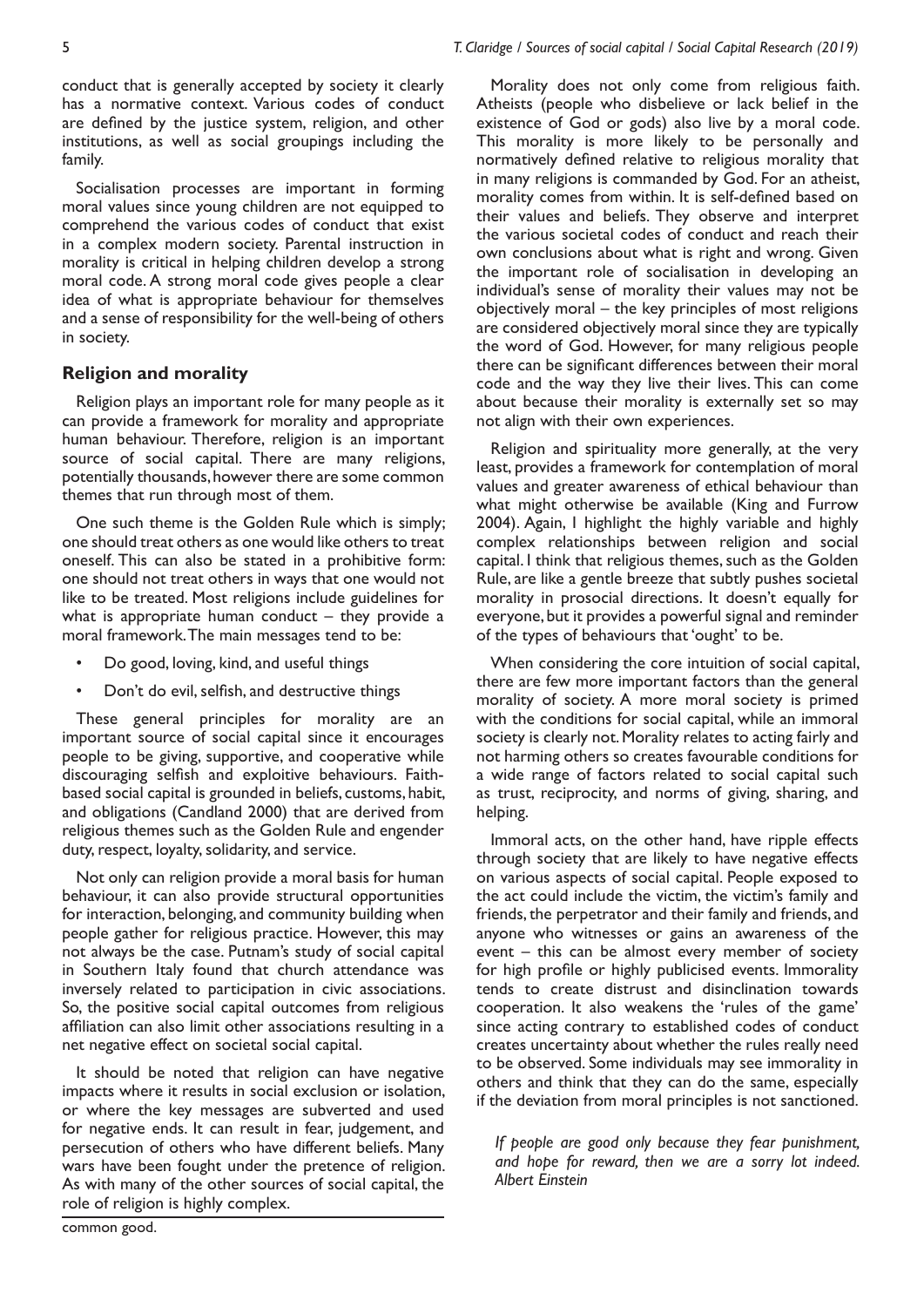conduct that is generally accepted by society it clearly has a normative context. Various codes of conduct are defined by the justice system, religion, and other institutions, as well as social groupings including the family.

Socialisation processes are important in forming moral values since young children are not equipped to comprehend the various codes of conduct that exist in a complex modern society. Parental instruction in morality is critical in helping children develop a strong moral code. A strong moral code gives people a clear idea of what is appropriate behaviour for themselves and a sense of responsibility for the well-being of others in society.

# **Religion and morality**

Religion plays an important role for many people as it can provide a framework for morality and appropriate human behaviour. Therefore, religion is an important source of social capital. There are many religions, potentially thousands, however there are some common themes that run through most of them.

One such theme is the Golden Rule which is simply; one should treat others as one would like others to treat oneself. This can also be stated in a prohibitive form: one should not treat others in ways that one would not like to be treated. Most religions include guidelines for what is appropriate human conduct  $-$  they provide a moral framework. The main messages tend to be:

- Do good, loving, kind, and useful things
- Don't do evil, selfish, and destructive things

These general principles for morality are an important source of social capital since it encourages people to be giving, supportive, and cooperative while discouraging selfish and exploitive behaviours. Faithbased social capital is grounded in beliefs, customs, habit, and obligations (Candland 2000) that are derived from religious themes such as the Golden Rule and engender duty, respect, loyalty, solidarity, and service.

Not only can religion provide a moral basis for human behaviour, it can also provide structural opportunities for interaction, belonging, and community building when people gather for religious practice. However, this may not always be the case. Putnam's study of social capital in Southern Italy found that church attendance was inversely related to participation in civic associations. So, the positive social capital outcomes from religious affiliation can also limit other associations resulting in a net negative effect on societal social capital.

It should be noted that religion can have negative impacts where it results in social exclusion or isolation, or where the key messages are subverted and used for negative ends. It can result in fear, judgement, and persecution of others who have different beliefs. Many wars have been fought under the pretence of religion. As with many of the other sources of social capital, the role of religion is highly complex.

Morality does not only come from religious faith. Atheists (people who disbelieve or lack belief in the existence of God or gods) also live by a moral code. This morality is more likely to be personally and normatively defined relative to religious morality that in many religions is commanded by God. For an atheist, morality comes from within. It is self-defined based on their values and beliefs. They observe and interpret the various societal codes of conduct and reach their own conclusions about what is right and wrong. Given the important role of socialisation in developing an individual's sense of morality their values may not be objectively moral – the key principles of most religions are considered objectively moral since they are typically the word of God. However, for many religious people there can be significant differences between their moral code and the way they live their lives. This can come about because their morality is externally set so may not align with their own experiences.

Religion and spirituality more generally, at the very least, provides a framework for contemplation of moral values and greater awareness of ethical behaviour than what might otherwise be available (King and Furrow 2004). Again, I highlight the highly variable and highly complex relationships between religion and social capital. I think that religious themes, such as the Golden Rule, are like a gentle breeze that subtly pushes societal morality in prosocial directions. It doesn't equally for everyone, but it provides a powerful signal and reminder of the types of behaviours that 'ought' to be.

When considering the core intuition of social capital, there are few more important factors than the general morality of society. A more moral society is primed with the conditions for social capital, while an immoral society is clearly not. Morality relates to acting fairly and not harming others so creates favourable conditions for a wide range of factors related to social capital such as trust, reciprocity, and norms of giving, sharing, and helping.

Immoral acts, on the other hand, have ripple effects through society that are likely to have negative effects on various aspects of social capital. People exposed to the act could include the victim, the victim's family and friends, the perpetrator and their family and friends, and anyone who witnesses or gains an awareness of the event – this can be almost every member of society for high profile or highly publicised events. Immorality tends to create distrust and disinclination towards cooperation. It also weakens the 'rules of the game' since acting contrary to established codes of conduct creates uncertainty about whether the rules really need to be observed. Some individuals may see immorality in others and think that they can do the same, especially if the deviation from moral principles is not sanctioned.

*If people are good only because they fear punishment, and hope for reward, then we are a sorry lot indeed. Albert Einstein*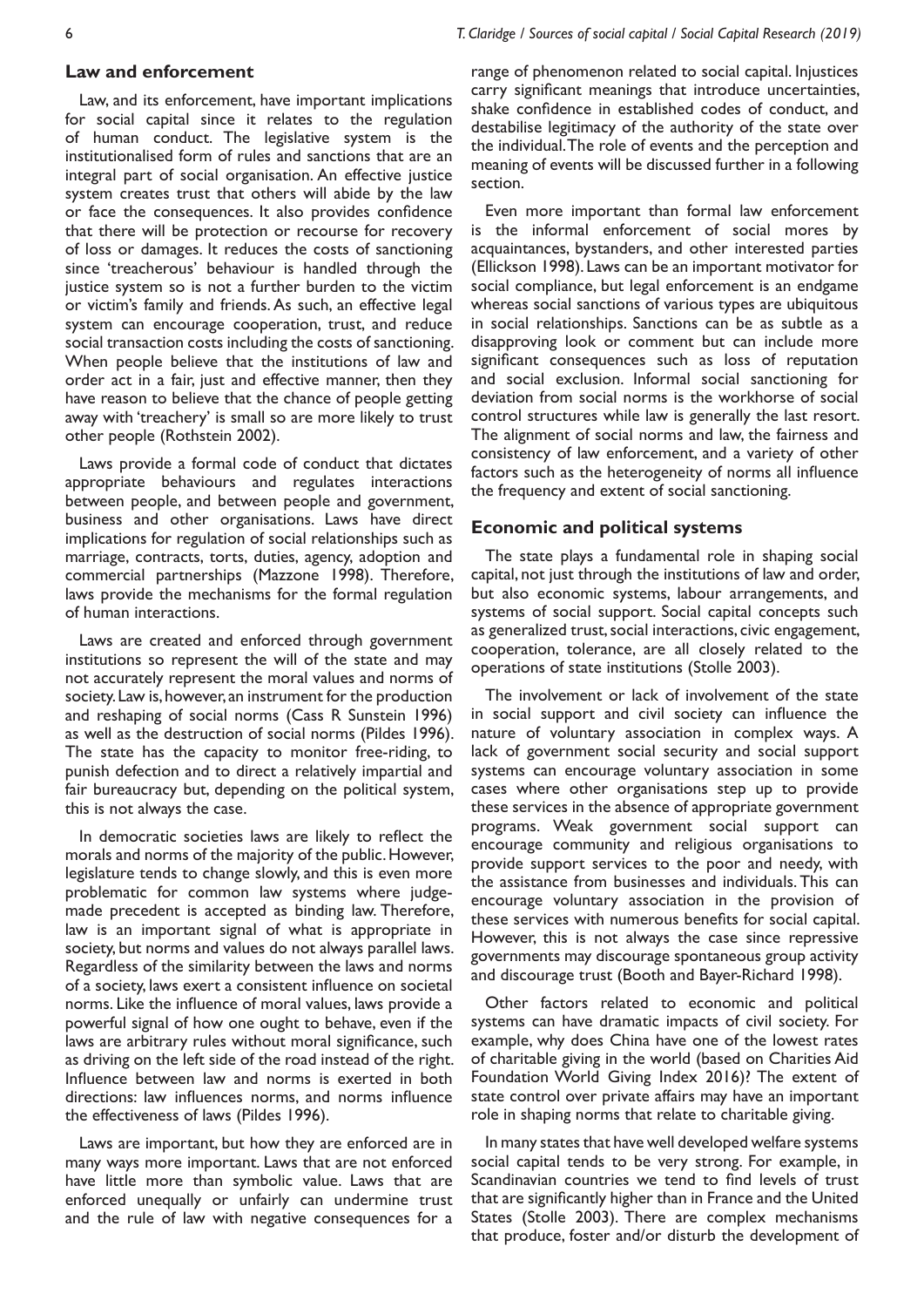#### **Law and enforcement**

Law, and its enforcement, have important implications for social capital since it relates to the regulation of human conduct. The legislative system is the institutionalised form of rules and sanctions that are an integral part of social organisation. An effective justice system creates trust that others will abide by the law or face the consequences. It also provides confidence that there will be protection or recourse for recovery of loss or damages. It reduces the costs of sanctioning since 'treacherous' behaviour is handled through the justice system so is not a further burden to the victim or victim's family and friends. As such, an effective legal system can encourage cooperation, trust, and reduce social transaction costs including the costs of sanctioning. When people believe that the institutions of law and order act in a fair, just and effective manner, then they have reason to believe that the chance of people getting away with 'treachery' is small so are more likely to trust other people (Rothstein 2002).

Laws provide a formal code of conduct that dictates appropriate behaviours and regulates interactions between people, and between people and government, business and other organisations. Laws have direct implications for regulation of social relationships such as marriage, contracts, torts, duties, agency, adoption and commercial partnerships (Mazzone 1998). Therefore, laws provide the mechanisms for the formal regulation of human interactions.

Laws are created and enforced through government institutions so represent the will of the state and may not accurately represent the moral values and norms of society. Law is, however, an instrument for the production and reshaping of social norms (Cass R Sunstein 1996) as well as the destruction of social norms (Pildes 1996). The state has the capacity to monitor free-riding, to punish defection and to direct a relatively impartial and fair bureaucracy but, depending on the political system, this is not always the case.

In democratic societies laws are likely to reflect the morals and norms of the majority of the public. However, legislature tends to change slowly, and this is even more problematic for common law systems where judgemade precedent is accepted as binding law. Therefore, law is an important signal of what is appropriate in society, but norms and values do not always parallel laws. Regardless of the similarity between the laws and norms of a society, laws exert a consistent influence on societal norms. Like the influence of moral values, laws provide a powerful signal of how one ought to behave, even if the laws are arbitrary rules without moral significance, such as driving on the left side of the road instead of the right. Influence between law and norms is exerted in both directions: law influences norms, and norms influence the effectiveness of laws (Pildes 1996).

Laws are important, but how they are enforced are in many ways more important. Laws that are not enforced have little more than symbolic value. Laws that are enforced unequally or unfairly can undermine trust and the rule of law with negative consequences for a

range of phenomenon related to social capital. Injustices carry significant meanings that introduce uncertainties, shake confidence in established codes of conduct, and destabilise legitimacy of the authority of the state over the individual. The role of events and the perception and meaning of events will be discussed further in a following section.

Even more important than formal law enforcement is the informal enforcement of social mores by acquaintances, bystanders, and other interested parties (Ellickson 1998). Laws can be an important motivator for social compliance, but legal enforcement is an endgame whereas social sanctions of various types are ubiquitous in social relationships. Sanctions can be as subtle as a disapproving look or comment but can include more significant consequences such as loss of reputation and social exclusion. Informal social sanctioning for deviation from social norms is the workhorse of social control structures while law is generally the last resort. The alignment of social norms and law, the fairness and consistency of law enforcement, and a variety of other factors such as the heterogeneity of norms all influence the frequency and extent of social sanctioning.

#### **Economic and political systems**

The state plays a fundamental role in shaping social capital, not just through the institutions of law and order, but also economic systems, labour arrangements, and systems of social support. Social capital concepts such as generalized trust, social interactions, civic engagement, cooperation, tolerance, are all closely related to the operations of state institutions (Stolle 2003).

The involvement or lack of involvement of the state in social support and civil society can influence the nature of voluntary association in complex ways. A lack of government social security and social support systems can encourage voluntary association in some cases where other organisations step up to provide these services in the absence of appropriate government programs. Weak government social support can encourage community and religious organisations to provide support services to the poor and needy, with the assistance from businesses and individuals. This can encourage voluntary association in the provision of these services with numerous benefits for social capital. However, this is not always the case since repressive governments may discourage spontaneous group activity and discourage trust (Booth and Bayer-Richard 1998).

Other factors related to economic and political systems can have dramatic impacts of civil society. For example, why does China have one of the lowest rates of charitable giving in the world (based on Charities Aid Foundation World Giving Index 2016)? The extent of state control over private affairs may have an important role in shaping norms that relate to charitable giving.

In many states that have well developed welfare systems social capital tends to be very strong. For example, in Scandinavian countries we tend to find levels of trust that are significantly higher than in France and the United States (Stolle 2003). There are complex mechanisms that produce, foster and/or disturb the development of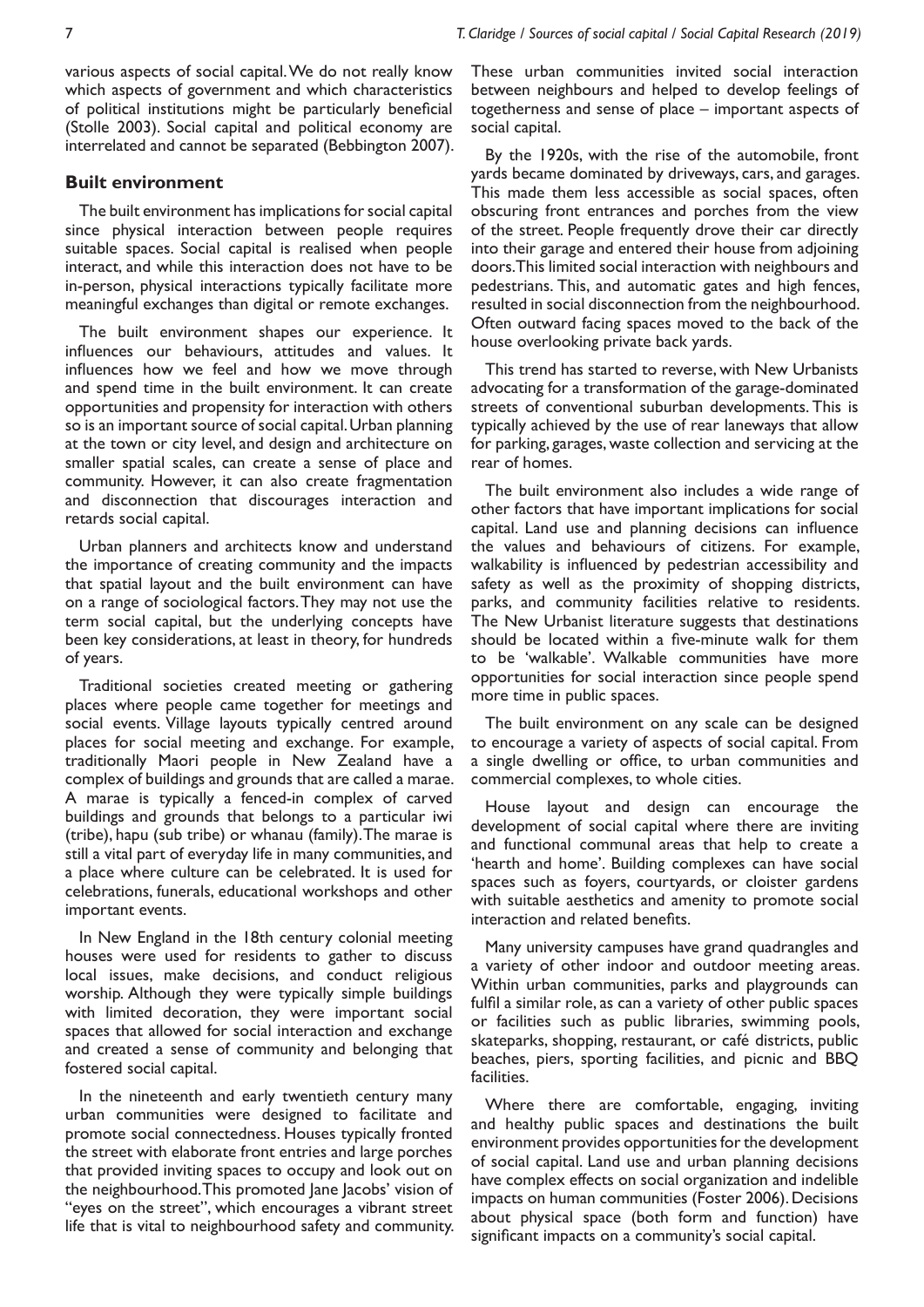7 *T. Claridge / Sources of social capital / Social Capital Research (2019)*

various aspects of social capital. We do not really know which aspects of government and which characteristics of political institutions might be particularly beneficial (Stolle 2003). Social capital and political economy are interrelated and cannot be separated (Bebbington 2007).

#### **Built environment**

The built environment has implications for social capital since physical interaction between people requires suitable spaces. Social capital is realised when people interact, and while this interaction does not have to be in-person, physical interactions typically facilitate more meaningful exchanges than digital or remote exchanges.

The built environment shapes our experience. It influences our behaviours, attitudes and values. It influences how we feel and how we move through and spend time in the built environment. It can create opportunities and propensity for interaction with others so is an important source of social capital. Urban planning at the town or city level, and design and architecture on smaller spatial scales, can create a sense of place and community. However, it can also create fragmentation and disconnection that discourages interaction and retards social capital.

Urban planners and architects know and understand the importance of creating community and the impacts that spatial layout and the built environment can have on a range of sociological factors. They may not use the term social capital, but the underlying concepts have been key considerations, at least in theory, for hundreds of years.

Traditional societies created meeting or gathering places where people came together for meetings and social events. Village layouts typically centred around places for social meeting and exchange. For example, traditionally Maori people in New Zealand have a complex of buildings and grounds that are called a marae. A marae is typically a fenced-in complex of carved buildings and grounds that belongs to a particular iwi (tribe), hapu (sub tribe) or whanau (family). The marae is still a vital part of everyday life in many communities, and a place where culture can be celebrated. It is used for celebrations, funerals, educational workshops and other important events.

In New England in the 18th century colonial meeting houses were used for residents to gather to discuss local issues, make decisions, and conduct religious worship. Although they were typically simple buildings with limited decoration, they were important social spaces that allowed for social interaction and exchange and created a sense of community and belonging that fostered social capital.

In the nineteenth and early twentieth century many urban communities were designed to facilitate and promote social connectedness. Houses typically fronted the street with elaborate front entries and large porches that provided inviting spaces to occupy and look out on the neighbourhood. This promoted Jane Jacobs' vision of "eyes on the street", which encourages a vibrant street life that is vital to neighbourhood safety and community. These urban communities invited social interaction between neighbours and helped to develop feelings of togetherness and sense of place – important aspects of social capital.

By the 1920s, with the rise of the automobile, front yards became dominated by driveways, cars, and garages. This made them less accessible as social spaces, often obscuring front entrances and porches from the view of the street. People frequently drove their car directly into their garage and entered their house from adjoining doors. This limited social interaction with neighbours and pedestrians. This, and automatic gates and high fences, resulted in social disconnection from the neighbourhood. Often outward facing spaces moved to the back of the house overlooking private back yards.

This trend has started to reverse, with New Urbanists advocating for a transformation of the garage-dominated streets of conventional suburban developments. This is typically achieved by the use of rear laneways that allow for parking, garages, waste collection and servicing at the rear of homes.

The built environment also includes a wide range of other factors that have important implications for social capital. Land use and planning decisions can influence the values and behaviours of citizens. For example, walkability is influenced by pedestrian accessibility and safety as well as the proximity of shopping districts, parks, and community facilities relative to residents. The New Urbanist literature suggests that destinations should be located within a five-minute walk for them to be 'walkable'. Walkable communities have more opportunities for social interaction since people spend more time in public spaces.

The built environment on any scale can be designed to encourage a variety of aspects of social capital. From a single dwelling or office, to urban communities and commercial complexes, to whole cities.

House layout and design can encourage the development of social capital where there are inviting and functional communal areas that help to create a 'hearth and home'. Building complexes can have social spaces such as foyers, courtyards, or cloister gardens with suitable aesthetics and amenity to promote social interaction and related benefits.

Many university campuses have grand quadrangles and a variety of other indoor and outdoor meeting areas. Within urban communities, parks and playgrounds can fulfil a similar role, as can a variety of other public spaces or facilities such as public libraries, swimming pools, skateparks, shopping, restaurant, or café districts, public beaches, piers, sporting facilities, and picnic and BBQ facilities.

Where there are comfortable, engaging, inviting and healthy public spaces and destinations the built environment provides opportunities for the development of social capital. Land use and urban planning decisions have complex effects on social organization and indelible impacts on human communities (Foster 2006). Decisions about physical space (both form and function) have significant impacts on a community's social capital.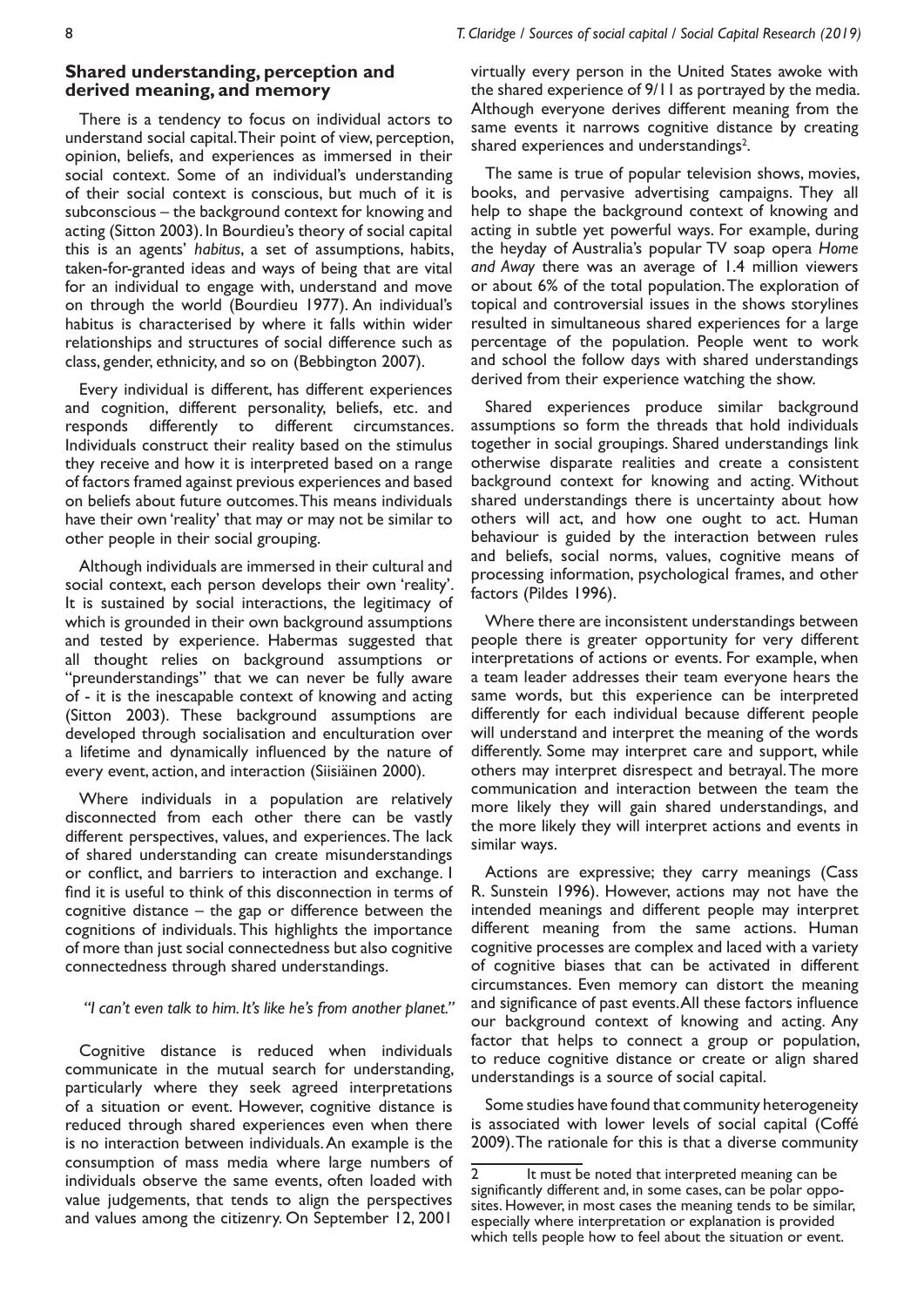8 *T. Claridge / Sources of social capital / Social Capital Research (2019)*

# **Shared understanding, perception and derived meaning, and memory**

There is a tendency to focus on individual actors to understand social capital. Their point of view, perception, opinion, beliefs, and experiences as immersed in their social context. Some of an individual's understanding of their social context is conscious, but much of it is subconscious – the background context for knowing and acting (Sitton 2003). In Bourdieu's theory of social capital this is an agents' *habitus*, a set of assumptions, habits, taken-for-granted ideas and ways of being that are vital for an individual to engage with, understand and move on through the world (Bourdieu 1977). An individual's habitus is characterised by where it falls within wider relationships and structures of social difference such as class, gender, ethnicity, and so on (Bebbington 2007).

Every individual is different, has different experiences and cognition, different personality, beliefs, etc. and responds differently to different circumstances. Individuals construct their reality based on the stimulus they receive and how it is interpreted based on a range of factors framed against previous experiences and based on beliefs about future outcomes. This means individuals have their own 'reality' that may or may not be similar to other people in their social grouping.

Although individuals are immersed in their cultural and social context, each person develops their own 'reality'. It is sustained by social interactions, the legitimacy of which is grounded in their own background assumptions and tested by experience. Habermas suggested that all thought relies on background assumptions or "preunderstandings" that we can never be fully aware of - it is the inescapable context of knowing and acting (Sitton 2003). These background assumptions are developed through socialisation and enculturation over a lifetime and dynamically influenced by the nature of every event, action, and interaction (Siisiäinen 2000).

Where individuals in a population are relatively disconnected from each other there can be vastly different perspectives, values, and experiences. The lack of shared understanding can create misunderstandings or conflict, and barriers to interaction and exchange. I find it is useful to think of this disconnection in terms of cognitive distance – the gap or difference between the cognitions of individuals. This highlights the importance of more than just social connectedness but also cognitive connectedness through shared understandings.

#### *"I can't even talk to him. It's like he's from another planet."*

Cognitive distance is reduced when individuals communicate in the mutual search for understanding, particularly where they seek agreed interpretations of a situation or event. However, cognitive distance is reduced through shared experiences even when there is no interaction between individuals. An example is the consumption of mass media where large numbers of individuals observe the same events, often loaded with value judgements, that tends to align the perspectives and values among the citizenry. On September 12, 2001

virtually every person in the United States awoke with the shared experience of 9/11 as portrayed by the media. Although everyone derives different meaning from the same events it narrows cognitive distance by creating shared experiences and understandings<sup>2</sup>.

The same is true of popular television shows, movies, books, and pervasive advertising campaigns. They all help to shape the background context of knowing and acting in subtle yet powerful ways. For example, during the heyday of Australia's popular TV soap opera *Home and Away* there was an average of 1.4 million viewers or about 6% of the total population. The exploration of topical and controversial issues in the shows storylines resulted in simultaneous shared experiences for a large percentage of the population. People went to work and school the follow days with shared understandings derived from their experience watching the show.

Shared experiences produce similar background assumptions so form the threads that hold individuals together in social groupings. Shared understandings link otherwise disparate realities and create a consistent background context for knowing and acting. Without shared understandings there is uncertainty about how others will act, and how one ought to act. Human behaviour is guided by the interaction between rules and beliefs, social norms, values, cognitive means of processing information, psychological frames, and other factors (Pildes 1996).

Where there are inconsistent understandings between people there is greater opportunity for very different interpretations of actions or events. For example, when a team leader addresses their team everyone hears the same words, but this experience can be interpreted differently for each individual because different people will understand and interpret the meaning of the words differently. Some may interpret care and support, while others may interpret disrespect and betrayal. The more communication and interaction between the team the more likely they will gain shared understandings, and the more likely they will interpret actions and events in similar ways.

Actions are expressive; they carry meanings (Cass R. Sunstein 1996). However, actions may not have the intended meanings and different people may interpret different meaning from the same actions. Human cognitive processes are complex and laced with a variety of cognitive biases that can be activated in different circumstances. Even memory can distort the meaning and significance of past events. All these factors influence our background context of knowing and acting. Any factor that helps to connect a group or population, to reduce cognitive distance or create or align shared understandings is a source of social capital.

Some studies have found that community heterogeneity is associated with lower levels of social capital (Coffé 2009). The rationale for this is that a diverse community

It must be noted that interpreted meaning can be significantly different and, in some cases, can be polar opposites. However, in most cases the meaning tends to be similar, especially where interpretation or explanation is provided which tells people how to feel about the situation or event.